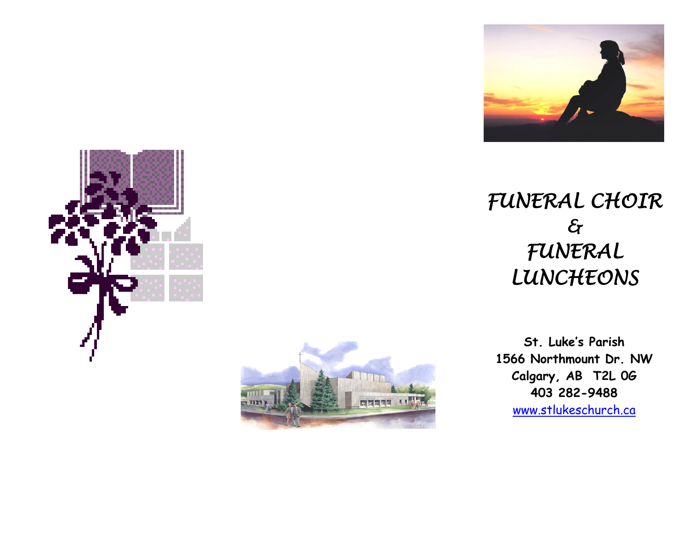







**St. Luke's Parish 1566 Northmount Dr. NW Calgary, AB T2L 0G 403 282-9488** [www.stlukeschurch.ca](http://www.stlukeschurch.ca/)